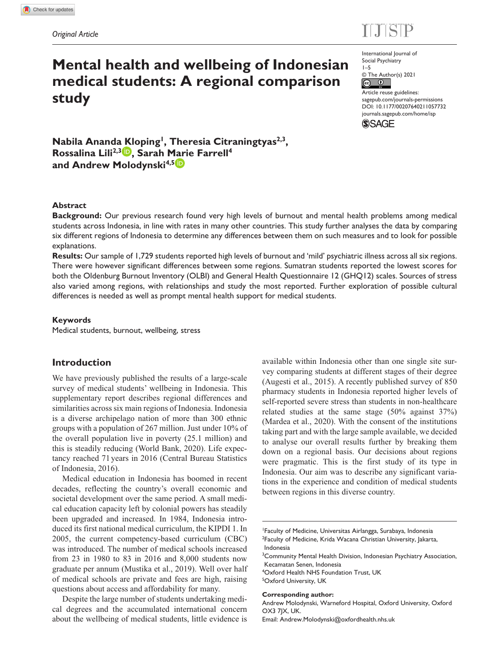

# **Mental health and wellbeing of Indonesian medical students: A regional comparison study**

International Journal of Social Psychiatry 1–5

 $E = 100$ 

© The Author(s) 2021  $\circ$   $\circ$ 

DOI: 10.1177/00207640211057732 Article reuse guidelines: [sagepub.com/journals-permissions](https://uk.sagepub.com/en-gb/journals-permissions) [journals.sagepub.com/home/isp](https://journals.sagepub.com/home/isp)

**SSAGE** 

Nabila Ananda Kloping<sup>1</sup>, Theresia Citraningtyas<sup>2,3</sup>, **Rossalina Lili2,3 , Sarah Marie Farrell4** and Andrew Molodynski<sup>4,5</sup>

## **Abstract**

**Background:** Our previous research found very high levels of burnout and mental health problems among medical students across Indonesia, in line with rates in many other countries. This study further analyses the data by comparing six different regions of Indonesia to determine any differences between them on such measures and to look for possible explanations.

**Results:** Our sample of 1,729 students reported high levels of burnout and 'mild' psychiatric illness across all six regions. There were however significant differences between some regions. Sumatran students reported the lowest scores for both the Oldenburg Burnout Inventory (OLBI) and General Health Questionnaire 12 (GHQ12) scales. Sources of stress also varied among regions, with relationships and study the most reported. Further exploration of possible cultural differences is needed as well as prompt mental health support for medical students.

#### **Keywords**

Medical students, burnout, wellbeing, stress

## **Introduction**

We have previously published the results of a large-scale survey of medical students' wellbeing in Indonesia. This supplementary report describes regional differences and similarities across six main regions of Indonesia. Indonesia is a diverse archipelago nation of more than 300 ethnic groups with a population of 267 million. Just under 10% of the overall population live in poverty (25.1 million) and this is steadily reducing (World Bank, 2020). Life expectancy reached 71 years in 2016 (Central Bureau Statistics of Indonesia, 2016).

Medical education in Indonesia has boomed in recent decades, reflecting the country's overall economic and societal development over the same period. A small medical education capacity left by colonial powers has steadily been upgraded and increased. In 1984, Indonesia introduced its first national medical curriculum, the KIPDI 1. In 2005, the current competency-based curriculum (CBC) was introduced. The number of medical schools increased from 23 in 1980 to 83 in 2016 and 8,000 students now graduate per annum (Mustika et al., 2019). Well over half of medical schools are private and fees are high, raising questions about access and affordability for many.

Despite the large number of students undertaking medical degrees and the accumulated international concern about the wellbeing of medical students, little evidence is available within Indonesia other than one single site survey comparing students at different stages of their degree (Augesti et al., 2015). A recently published survey of 850 pharmacy students in Indonesia reported higher levels of self-reported severe stress than students in non-healthcare related studies at the same stage (50% against 37%) (Mardea et al., 2020). With the consent of the institutions taking part and with the large sample available, we decided to analyse our overall results further by breaking them down on a regional basis. Our decisions about regions were pragmatic. This is the first study of its type in Indonesia. Our aim was to describe any significant variations in the experience and condition of medical students between regions in this diverse country.

4 Oxford Health NHS Foundation Trust, UK 5 Oxford University, UK

#### **Corresponding author:**

Andrew Molodynski, Warneford Hospital, Oxford University, Oxford OX3 7JX, UK.

Email: [Andrew.Molodynski@oxfordhealth.nhs.uk](mailto:Andrew.Molodynski@oxfordhealth.nhs.uk)

<sup>1</sup> Faculty of Medicine, Universitas Airlangga, Surabaya, Indonesia <sup>2</sup>Faculty of Medicine, Krida Wacana Christian University, Jakarta, Indonesia

<sup>&</sup>lt;sup>3</sup> Community Mental Health Division, Indonesian Psychiatry Association, Kecamatan Senen, Indonesia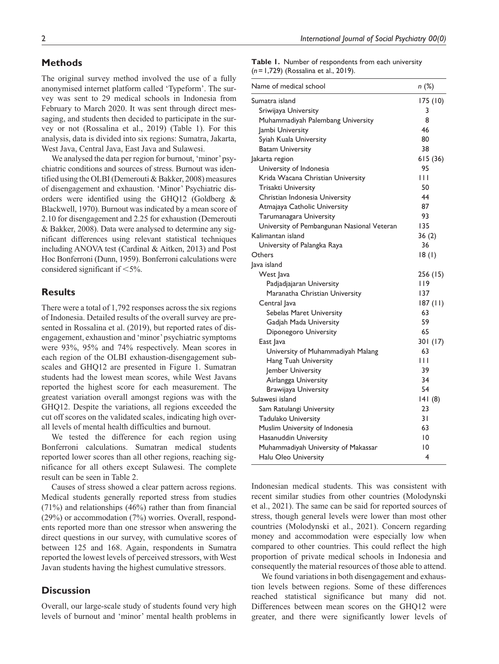## **Methods**

The original survey method involved the use of a fully anonymised internet platform called 'Typeform'. The survey was sent to 29 medical schools in Indonesia from February to March 2020. It was sent through direct messaging, and students then decided to participate in the survey or not (Rossalina et al., 2019) (Table 1). For this analysis, data is divided into six regions: Sumatra, Jakarta, West Java, Central Java, East Java and Sulawesi.

We analysed the data per region for burnout, 'minor' psychiatric conditions and sources of stress. Burnout was identified using the OLBI (Demerouti & Bakker, 2008) measures of disengagement and exhaustion. 'Minor' Psychiatric disorders were identified using the GHQ12 (Goldberg & Blackwell, 1970). Burnout was indicated by a mean score of 2.10 for disengagement and 2.25 for exhaustion (Demerouti & Bakker, 2008). Data were analysed to determine any significant differences using relevant statistical techniques including ANOVA test (Cardinal & Aitken, 2013) and Post Hoc Bonferroni (Dunn, 1959). Bonferroni calculations were considered significant if  $\leq 5\%$ .

## **Results**

There were a total of 1,792 responses across the six regions of Indonesia. Detailed results of the overall survey are presented in Rossalina et al. (2019), but reported rates of disengagement, exhaustion and 'minor' psychiatric symptoms were 93%, 95% and 74% respectively. Mean scores in each region of the OLBI exhaustion-disengagement subscales and GHQ12 are presented in Figure 1. Sumatran students had the lowest mean scores, while West Javans reported the highest score for each measurement. The greatest variation overall amongst regions was with the GHQ12. Despite the variations, all regions exceeded the cut off scores on the validated scales, indicating high overall levels of mental health difficulties and burnout.

We tested the difference for each region using Bonferroni calculations. Sumatran medical students reported lower scores than all other regions, reaching significance for all others except Sulawesi. The complete result can be seen in Table 2.

Causes of stress showed a clear pattern across regions. Medical students generally reported stress from studies (71%) and relationships (46%) rather than from financial (29%) or accommodation (7%) worries. Overall, respondents reported more than one stressor when answering the direct questions in our survey, with cumulative scores of between 125 and 168. Again, respondents in Sumatra reported the lowest levels of perceived stressors, with West Javan students having the highest cumulative stressors.

## **Discussion**

Overall, our large-scale study of students found very high levels of burnout and 'minor' mental health problems in

**Table 1.** Number of respondents from each university (*n*=1,729) (Rossalina et al., 2019).

| Name of medical school                     | n (%)            |
|--------------------------------------------|------------------|
| Sumatra island                             | 175 (10)         |
| Sriwijaya University                       | 3                |
| Muhammadiyah Palembang University          | 8                |
| Jambi University                           | 46               |
| Syiah Kuala University                     | 80               |
| <b>Batam University</b>                    | 38               |
| Jakarta region                             | 615(36)          |
| University of Indonesia                    | 95               |
| Krida Wacana Christian University          | $\overline{111}$ |
| Trisakti University                        | 50               |
| Christian Indonesia University             | 44               |
| Atmajaya Catholic University               | 87               |
| Tarumanagara University                    | 93               |
| University of Pembangunan Nasional Veteran | 135              |
| Kalimantan island                          | 36(2)            |
| University of Palangka Raya                | 36               |
| Others                                     | 18(1)            |
| lava island                                |                  |
| West Java                                  | 256 (15)         |
| Padjadjajaran University                   | 119              |
| Maranatha Christian University             | 137              |
| Central Java                               | 187(11)          |
| Sebelas Maret University                   | 63               |
| Gadjah Mada University                     | 59               |
| Diponegoro University                      | 65               |
| East Java                                  | 301 (17)         |
| University of Muhammadiyah Malang          | 63               |
| Hang Tuah University                       | $\mathsf{H}$     |
| Jember University                          | 39               |
| Airlangga University                       | 34               |
| <b>Brawijaya University</b>                | 54               |
| Sulawesi island                            | 141(8)           |
| Sam Ratulangi University                   | 23               |
| Tadulako University                        | 31               |
| Muslim University of Indonesia             | 63               |
| Hasanuddin University                      | 10               |
| Muhammadiyah University of Makassar        | 10               |
| <b>Halu Oleo University</b>                | 4                |

Indonesian medical students. This was consistent with recent similar studies from other countries (Molodynski et al., 2021). The same can be said for reported sources of stress, though general levels were lower than most other countries (Molodynski et al., 2021). Concern regarding money and accommodation were especially low when compared to other countries. This could reflect the high proportion of private medical schools in Indonesia and consequently the material resources of those able to attend.

We found variations in both disengagement and exhaustion levels between regions. Some of these differences reached statistical significance but many did not. Differences between mean scores on the GHQ12 were greater, and there were significantly lower levels of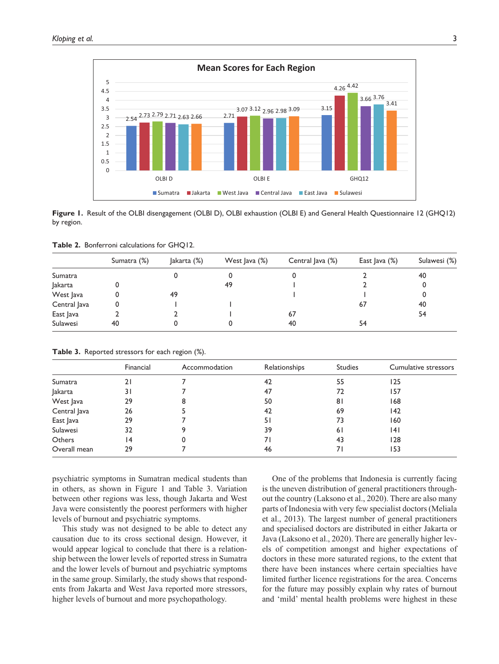

**Figure 1.** Result of the OLBI disengagement (OLBI D), OLBI exhaustion (OLBI E) and General Health Questionnaire 12 (GHQ12) by region.

|  |  | Table 2. Bonferroni calculations for GHQ12. |  |  |  |
|--|--|---------------------------------------------|--|--|--|
|--|--|---------------------------------------------|--|--|--|

|              | Sumatra (%) | Jakarta (%) | West $ $ ava $(\%)$ | Central Java (%) | East Java (%) | Sulawesi (%) |
|--------------|-------------|-------------|---------------------|------------------|---------------|--------------|
| Sumatra      |             |             |                     |                  |               | 40           |
| Jakarta      |             |             | 49                  |                  |               |              |
| West Java    |             | 49          |                     |                  |               |              |
| Central Java | 0           |             |                     |                  | 67            | 40           |
| East Java    |             |             |                     | 67               |               | 54           |
| Sulawesi     | 40          |             |                     | 40               | 54            |              |

|  | Table 3. Reported stressors for each region (%). |  |  |  |  |  |
|--|--------------------------------------------------|--|--|--|--|--|
|--|--------------------------------------------------|--|--|--|--|--|

|              | Financial | Accommodation | Relationships | <b>Studies</b> | Cumulative stressors |
|--------------|-----------|---------------|---------------|----------------|----------------------|
| Sumatra      | 21        |               | 42            | 55             | 125                  |
| Jakarta      | 31        |               | 47            | 72             | 157                  |
| West Java    | 29        | 8             | 50            | 81             | 168                  |
| Central Java | 26        |               | 42            | 69             | 142                  |
| East Java    | 29        |               | 51            | 73             | 160                  |
| Sulawesi     | 32        |               | 39            | 6 I            | 141                  |
| Others       | 14        | 0             | 7 I           | 43             | 128                  |
| Overall mean | 29        |               | 46            |                | 153                  |

psychiatric symptoms in Sumatran medical students than in others, as shown in Figure 1 and Table 3. Variation between other regions was less, though Jakarta and West Java were consistently the poorest performers with higher levels of burnout and psychiatric symptoms.

This study was not designed to be able to detect any causation due to its cross sectional design. However, it would appear logical to conclude that there is a relationship between the lower levels of reported stress in Sumatra and the lower levels of burnout and psychiatric symptoms in the same group. Similarly, the study shows that respondents from Jakarta and West Java reported more stressors, higher levels of burnout and more psychopathology.

One of the problems that Indonesia is currently facing is the uneven distribution of general practitioners throughout the country (Laksono et al., 2020). There are also many parts of Indonesia with very few specialist doctors (Meliala et al., 2013). The largest number of general practitioners and specialised doctors are distributed in either Jakarta or Java (Laksono et al., 2020). There are generally higher levels of competition amongst and higher expectations of doctors in these more saturated regions, to the extent that there have been instances where certain specialties have limited further licence registrations for the area. Concerns for the future may possibly explain why rates of burnout and 'mild' mental health problems were highest in these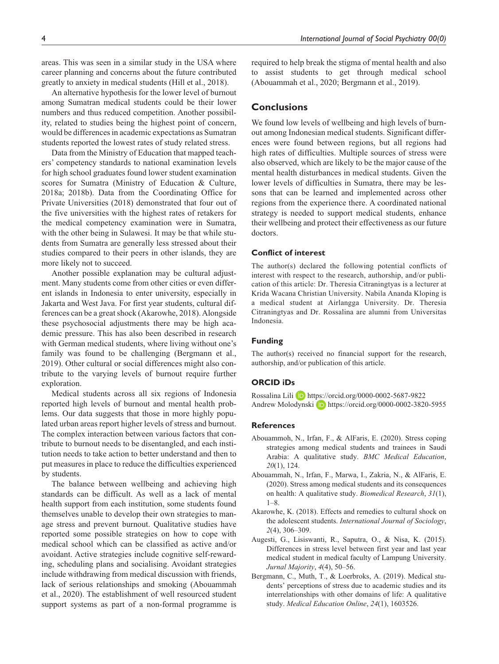areas. This was seen in a similar study in the USA where career planning and concerns about the future contributed greatly to anxiety in medical students (Hill et al., 2018).

An alternative hypothesis for the lower level of burnout among Sumatran medical students could be their lower numbers and thus reduced competition. Another possibility, related to studies being the highest point of concern, would be differences in academic expectations as Sumatran students reported the lowest rates of study related stress.

Data from the Ministry of Education that mapped teachers' competency standards to national examination levels for high school graduates found lower student examination scores for Sumatra (Ministry of Education & Culture, 2018a; 2018b). Data from the Coordinating Office for Private Universities (2018) demonstrated that four out of the five universities with the highest rates of retakers for the medical competency examination were in Sumatra, with the other being in Sulawesi. It may be that while students from Sumatra are generally less stressed about their studies compared to their peers in other islands, they are more likely not to succeed.

Another possible explanation may be cultural adjustment. Many students come from other cities or even different islands in Indonesia to enter university, especially in Jakarta and West Java. For first year students, cultural differences can be a great shock (Akarowhe, 2018). Alongside these psychosocial adjustments there may be high academic pressure. This has also been described in research with German medical students, where living without one's family was found to be challenging (Bergmann et al., 2019). Other cultural or social differences might also contribute to the varying levels of burnout require further exploration.

Medical students across all six regions of Indonesia reported high levels of burnout and mental health problems. Our data suggests that those in more highly populated urban areas report higher levels of stress and burnout. The complex interaction between various factors that contribute to burnout needs to be disentangled, and each institution needs to take action to better understand and then to put measures in place to reduce the difficulties experienced by students.

The balance between wellbeing and achieving high standards can be difficult. As well as a lack of mental health support from each institution, some students found themselves unable to develop their own strategies to manage stress and prevent burnout. Qualitative studies have reported some possible strategies on how to cope with medical school which can be classified as active and/or avoidant. Active strategies include cognitive self-rewarding, scheduling plans and socialising. Avoidant strategies include withdrawing from medical discussion with friends, lack of serious relationships and smoking (Abouammah et al., 2020). The establishment of well resourced student support systems as part of a non-formal programme is

required to help break the stigma of mental health and also to assist students to get through medical school (Abouammah et al., 2020; Bergmann et al., 2019).

## **Conclusions**

We found low levels of wellbeing and high levels of burnout among Indonesian medical students. Significant differences were found between regions, but all regions had high rates of difficulties. Multiple sources of stress were also observed, which are likely to be the major cause of the mental health disturbances in medical students. Given the lower levels of difficulties in Sumatra, there may be lessons that can be learned and implemented across other regions from the experience there. A coordinated national strategy is needed to support medical students, enhance their wellbeing and protect their effectiveness as our future doctors.

#### **Conflict of interest**

The author(s) declared the following potential conflicts of interest with respect to the research, authorship, and/or publication of this article: Dr. Theresia Citraningtyas is a lecturer at Krida Wacana Christian University. Nabila Ananda Kloping is a medical student at Airlangga University. Dr. Theresia Citraningtyas and Dr. Rossalina are alumni from Universitas Indonesia.

#### **Funding**

The author(s) received no financial support for the research, authorship, and/or publication of this article.

#### **ORCID iDs**

Rossalina Lili D <https://orcid.org/0000-0002-5687-9822> Andrew Molodynski D <https://orcid.org/0000-0002-3820-5955>

#### **References**

- Abouammoh, N., Irfan, F., & AlFaris, E. (2020). Stress coping strategies among medical students and trainees in Saudi Arabia: A qualitative study. *BMC Medical Education*, *20*(1), 124.
- Abouammah, N., Irfan, F., Marwa, I., Zakria, N., & AlFaris, E. (2020). Stress among medical students and its consequences on health: A qualitative study. *Biomedical Research*, *31*(1),  $1 - 8$ .
- Akarowhe, K. (2018). Effects and remedies to cultural shock on the adolescent students. *International Journal of Sociology*, *2*(4), 306–309.
- Augesti, G., Lisiswanti, R., Saputra, O., & Nisa, K. (2015). Differences in stress level between first year and last year medical student in medical faculty of Lampung University. *Jurnal Majority*, *4*(4), 50–56.
- Bergmann, C., Muth, T., & Loerbroks, A. (2019). Medical students' perceptions of stress due to academic studies and its interrelationships with other domains of life: A qualitative study. *Medical Education Online*, *24*(1), 1603526.